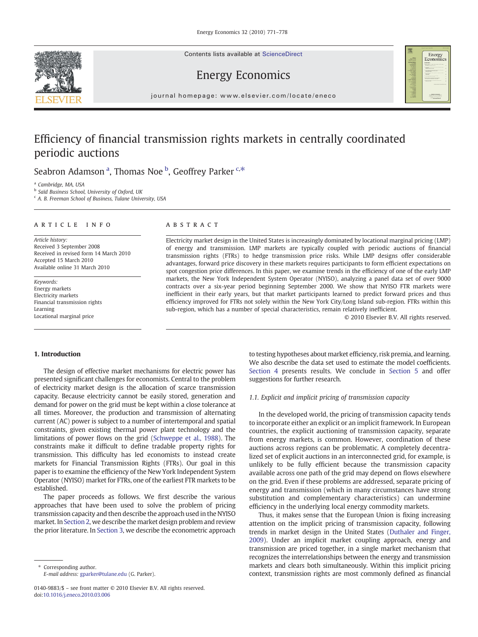Contents lists available at ScienceDirect



## Energy Economics journal homepage: www.elsevier.com/locate/eneco  $j$  or extended the p and  $i$  events of  $i$  and  $i$  extended the  $i$

# Efficiency of financial transmission rights markets in centrally coordinated periodic auctions

## Seabron Adamson <sup>a</sup>, Thomas Noe <sup>b</sup>, Geoffrey Parker <sup>c,\*</sup>

<sup>a</sup> Cambridge, MA, USA

<sup>b</sup> Saïd Business School, University of Oxford, UK

<sup>c</sup> A. B. Freeman School of Business, Tulane University, USA

#### article info abstract

Article history: Received 3 September 2008 Received in revised form 14 March 2010 Accepted 15 March 2010 Available online 31 March 2010

Keywords: Energy markets Electricity markets Financial transmission rights Learning Locational marginal price

Electricity market design in the United States is increasingly dominated by locational marginal pricing (LMP) of energy and transmission. LMP markets are typically coupled with periodic auctions of financial transmission rights (FTRs) to hedge transmission price risks. While LMP designs offer considerable advantages, forward price discovery in these markets requires participants to form efficient expectations on spot congestion price differences. In this paper, we examine trends in the efficiency of one of the early LMP markets, the New York Independent System Operator (NYISO), analyzing a panel data set of over 9000 contracts over a six-year period beginning September 2000. We show that NYISO FTR markets were inefficient in their early years, but that market participants learned to predict forward prices and thus efficiency improved for FTRs not solely within the New York City/Long Island sub-region. FTRs within this sub-region, which has a number of special characteristics, remain relatively inefficient.

© 2010 Elsevier B.V. All rights reserved.

#### 1. Introduction

The design of effective market mechanisms for electric power has presented significant challenges for economists. Central to the problem of electricity market design is the allocation of scarce transmission capacity. Because electricity cannot be easily stored, generation and demand for power on the grid must be kept within a close tolerance at all times. Moreover, the production and transmission of alternating current (AC) power is subject to a number of intertemporal and spatial constraints, given existing thermal power plant technology and the limitations of power flows on the grid [\(Schweppe et al., 1988\)](#page--1-0). The constraints make it difficult to define tradable property rights for transmission. This difficulty has led economists to instead create markets for Financial Transmission Rights (FTRs). Our goal in this paper is to examine the efficiency of the New York Independent System Operator (NYISO) market for FTRs, one of the earliest FTR markets to be established.

The paper proceeds as follows. We first describe the various approaches that have been used to solve the problem of pricing transmission capacity and then describe the approach used in the NYISO market. In [Section 2,](#page-1-0) we describe the market design problem and review the prior literature. In [Section 3](#page--1-0), we describe the econometric approach

Corresponding author. E-mail address: [gparker@tulane.edu](mailto:gparker@tulane.edu) (G. Parker). to testing hypotheses about market efficiency, risk premia, and learning. We also describe the data set used to estimate the model coefficients. [Section 4](#page--1-0) presents results. We conclude in [Section 5](#page--1-0) and offer suggestions for further research.

### 1.1. Explicit and implicit pricing of transmission capacity

In the developed world, the pricing of transmission capacity tends to incorporate either an explicit or an implicit framework. In European countries, the explicit auctioning of transmission capacity, separate from energy markets, is common. However, coordination of these auctions across regions can be problematic. A completely decentralized set of explicit auctions in an interconnected grid, for example, is unlikely to be fully efficient because the transmission capacity available across one path of the grid may depend on flows elsewhere on the grid. Even if these problems are addressed, separate pricing of energy and transmission (which in many circumstances have strong substitution and complementary characteristics) can undermine efficiency in the underlying local energy commodity markets.

Thus, it makes sense that the European Union is fixing increasing attention on the implicit pricing of transmission capacity, following trends in market design in the United States ([Duthaler and Finger,](#page--1-0) [2009\)](#page--1-0). Under an implicit market coupling approach, energy and transmission are priced together, in a single market mechanism that recognizes the interrelationships between the energy and transmission markets and clears both simultaneously. Within this implicit pricing context, transmission rights are most commonly defined as financial

<sup>0140-9883/\$</sup> – see front matter © 2010 Elsevier B.V. All rights reserved. doi:[10.1016/j.eneco.2010.03.006](http://dx.doi.org/10.1016/j.eneco.2010.03.006)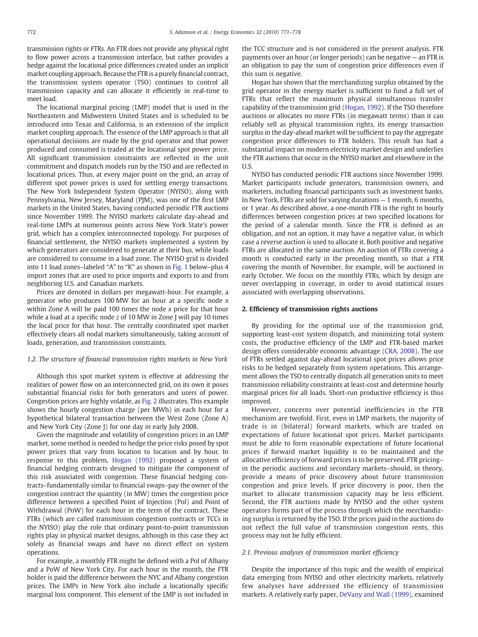<span id="page-1-0"></span>transmission rights or FTRs. An FTR does not provide any physical right to flow power across a transmission interface, but rather provides a hedge against the locational price differences created under an implicit market coupling approach. Because the FTR is a purely financial contract, the transmission system operator (TSO) continues to control all transmission capacity and can allocate it efficiently in real-time to meet load.

The locational marginal pricing (LMP) model that is used in the Northeastern and Midwestern United States and is scheduled to be introduced into Texas and California, is an extension of the implicit market coupling approach. The essence of the LMP approach is that all operational decisions are made by the grid operator and that power produced and consumed is traded at the locational spot power price. All significant transmission constraints are reflected in the unit commitment and dispatch models run by the TSO and are reflected in locational prices. Thus, at every major point on the grid, an array of different spot power prices is used for settling energy transactions. The New York Independent System Operator (NYISO), along with Pennsylvania, New Jersey, Maryland (PJM), was one of the first LMP markets in the United States, having conducted periodic FTR auctions since November 1999. The NYISO markets calculate day-ahead and real-time LMPs at numerous points across New York State's power grid, which has a complex interconnected topology. For purposes of financial settlement, the NYISO markets implemented a system by which generators are considered to generate at their bus, while loads are considered to consume in a load zone. The NYISO grid is divided into 11 load zones–labeled "A" to "K" as shown in [Fig. 1](#page--1-0) below–plus 4 import zones that are used to price imports and exports to and from neighboring U.S. and Canadian markets.

Prices are denoted in dollars per megawatt-hour. For example, a generator who produces 100 MW for an hour at a specific node  $x$ within Zone A will be paid 100 times the node x price for that hour while a load at a specific node z of 10 MW in Zone J will pay 10 times the local price for that hour. The centrally coordinated spot market effectively clears all nodal markets simultaneously, taking account of loads, generation, and transmission constraints.

#### 1.2. The structure of financial transmission rights markets in New York

Although this spot market system is effective at addressing the realities of power flow on an interconnected grid, on its own it poses substantial financial risks for both generators and users of power. Congestion prices are highly volatile, as [Fig. 2](#page--1-0) illustrates. This example shows the hourly congestion charge (per MWh) in each hour for a hypothetical bilateral transaction between the West Zone (Zone A) and New York City (Zone J) for one day in early July 2008.

Given the magnitude and volatility of congestion prices in an LMP market, some method is needed to hedge the price risks posed by spot power prices that vary from location to location and by hour. In response to this problem, [Hogan \(1992\)](#page--1-0) proposed a system of financial hedging contracts designed to mitigate the component of this risk associated with congestion. These financial hedging contracts–fundamentally similar to financial swaps–pay the owner of the congestion contract the quantity (in MW) times the congestion price difference between a specified Point of Injection (PoI) and Point of Withdrawal (PoW) for each hour in the term of the contract. These FTRs (which are called transmission congestion contracts or TCCs in the NYISO) play the role that ordinary point-to-point transmission rights play in physical market designs, although in this case they act solely as financial swaps and have no direct effect on system operations.

For example, a monthly FTR might be defined with a PoI of Albany and a PoW of New York City. For each hour in the month, the FTR holder is paid the difference between the NYC and Albany congestion prices. The LMPs in New York also include a locationally specific marginal loss component. This element of the LMP is not included in

the TCC structure and is not considered in the present analysis. FTR payments over an hour (or longer periods) can be negative — an FTR is an obligation to pay the sum of congestion price differences even if this sum is negative.

Hogan has shown that the merchandizing surplus obtained by the grid operator in the energy market is sufficient to fund a full set of FTRs that reflect the maximum physical simultaneous transfer capability of the transmission grid ([Hogan, 1992](#page--1-0)). If the TSO therefore auctions or allocates no more FTRs (in megawatt terms) than it can reliably sell as physical transmission rights, its energy transaction surplus in the day-ahead market will be sufficient to pay the aggregate congestion price differences to FTR holders. This result has had a substantial impact on modern electricity market design and underlies the FTR auctions that occur in the NYISO market and elsewhere in the U.S.

NYISO has conducted periodic FTR auctions since November 1999. Market participants include generators, transmission owners, and marketers, including financial participants such as investment banks. In New York, FTRs are sold for varying durations — 1 month, 6 months, or 1 year. As described above, a one-month FTR is the right to hourly differences between congestion prices at two specified locations for the period of a calendar month. Since the FTR is defined as an obligation, and not an option, it may have a negative value, in which case a reverse auction is used to allocate it. Both positive and negative FTRs are allocated in the same auction. An auction of FTRs covering a month is conducted early in the preceding month, so that a FTR covering the month of November, for example, will be auctioned in early October. We focus on the monthly FTRs, which by design are never overlapping in coverage, in order to avoid statistical issues associated with overlapping observations.

#### 2. Efficiency of transmission rights auctions

By providing for the optimal use of the transmission grid, supporting least-cost system dispatch, and minimizing total system costs, the productive efficiency of the LMP and FTR-based market design offers considerable economic advantage ([CRA, 2008\)](#page--1-0). The use of FTRs settled against day-ahead locational spot prices allows price risks to be hedged separately from system operations. This arrangement allows the TSO to centrally dispatch all generation units to meet transmission reliability constraints at least-cost and determine hourly marginal prices for all loads. Short-run productive efficiency is thus improved.

However, concerns over potential inefficiencies in the FTR mechanism are twofold. First, even in LMP markets, the majority of trade is in (bilateral) forward markets, which are traded on expectations of future locational spot prices. Market participants must be able to form reasonable expectations of future locational prices if forward market liquidity is to be maintained and the allocative efficiency of forward prices is to be preserved. FTR pricing– in the periodic auctions and secondary markets–should, in theory, provide a means of price discovery about future transmission congestion and price levels. If price discovery is poor, then the market to allocate transmission capacity may be less efficient. Second, the FTR auctions made by NYISO and the other system operators forms part of the process through which the merchandizing surplus is returned by the TSO. If the prices paid in the auctions do not reflect the full value of transmission congestion rents, this process may not be fully efficient.

### 2.1. Previous analyses of transmission market efficiency

Despite the importance of this topic and the wealth of empirical data emerging from NYISO and other electricity markets, relatively few analyses have addressed the efficiency of transmission markets. A relatively early paper, [DeVany and Wall \(1999\)](#page--1-0), examined